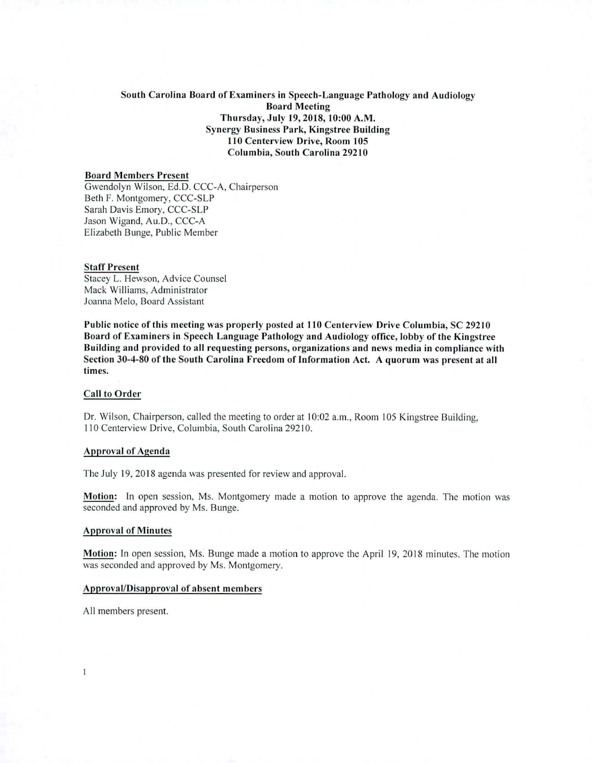# South Carolina Board of Examiners in Speech-Language Pathology and Audiology **Board Meeting** Thursday, July 19, 2018, 10:00 A.M. **Synergy Business Park, Kingstree Building** 110 Centerview Drive, Room 105 Columbia, South Carolina 29210

### **Board Members Present**

Gwendolyn Wilson, Ed.D. CCC-A, Chairperson Beth F. Montgomery, CCC-SLP Sarah Davis Emory, CCC-SLP Jason Wigand, Au.D., CCC-A Elizabeth Bunge, Public Member

#### **Staff Present**

Stacey L. Hewson, Advice Counsel Mack Williams, Administrator Joanna Melo, Board Assistant

Public notice of this meeting was properly posted at 110 Centerview Drive Columbia, SC 29210 Board of Examiners in Speech Language Pathology and Audiology office, lobby of the Kingstree Building and provided to all requesting persons, organizations and news media in compliance with Section 30-4-80 of the South Carolina Freedom of Information Act. A quorum was present at all times.

### **Call to Order**

Dr. Wilson, Chairperson, called the meeting to order at 10:02 a.m., Room 105 Kingstree Building. 110 Centerview Drive, Columbia, South Carolina 29210.

#### **Approval of Agenda**

The July 19, 2018 agenda was presented for review and approval.

Motion: In open session, Ms. Montgomery made a motion to approve the agenda. The motion was seconded and approved by Ms. Bunge.

#### **Approval of Minutes**

Motion: In open session, Ms. Bunge made a motion to approve the April 19, 2018 minutes. The motion was seconded and approved by Ms. Montgomery.

#### Approval/Disapproval of absent members

All members present.

 $\mathbf{I}$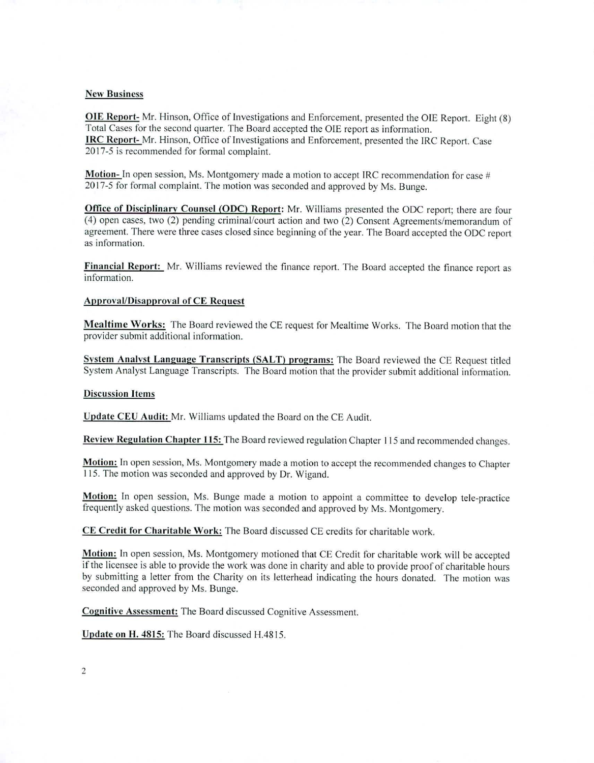### New Business

OIE Report- Mr. Hinson, Office of Investigations and Enforcement, presented the OIE Report. Eight (8) Total Cases for the second quarter. The Board accepted the OIE report as information. IRC Report- Mr. Hinson, Office of Investigations and Enforcement, presented the IRC Report. Case 2017-5 is recommended for formal complaint.

**Motion-** In open session, Ms. Montgomery made a motion to accept IRC recommendation for case # 2017-5 for formal complaint. The motion was seconded and approved by Ms. Bunge.

**Office of Disciplinary Counsel (ODC) Report:** Mr. Williams presented the ODC report; there are four (4) open cases, two (2) pending criminal/court action and two (2) Consent Agreements/memorandum of agreement. There were three cases closed since beginning of the year. The Board accepted the ODC report as information.

**Financial Report:** Mr. Williams reviewed the finance report. The Board accepted the finance report as information.

# **Approval/Disapproval of CE Request**

**Mealtime Works:** The Board reviewed the CE request for Mealtime Works. The Board motion that the provider submit additional information.

**System Analyst Language Transcripts (SALT) programs:** The Board reviewed the CE Request titled System Analyst Language Transcripts. The Board motion that the provider submit additional information.

# **Discussion Items**

**Update CEU Audit:** Mr. Williams updated the Board on the CE Audit.

**Review Regulation Chapter 115:** The Board reviewed regulation Chapter 115 and recommended changes.

**Motion:** In open session, Ms. Montgomery made a motion to accept the recommended changes to Chapter 115. The motion *was* seconded and approved by Dr. Wigand.

**Motion:** In open session, Ms. Bunge made a motion to appoint a committee to develop tele-practice frequently asked questions. The motion was seconded and approved by Ms. Montgomery.

**CE Credit for Charitable Work:** The Board discussed CE credits for charitable work.

**Motion:** In open session, Ms. Montgomery motioned that CE Credit for charitable work will be accepted if the licensee is able to provide the work was done in charity and able to provide proof of charitable hours by submitting a letter from the Charity on its letterhead indicating the hours donated. The motion was seconded and approved by Ms. Bunge.

**Cognitive Assessment:** The Board discussed Cognitive Assessment.

**Update on H. 4815:** The Board discussed H.4815.